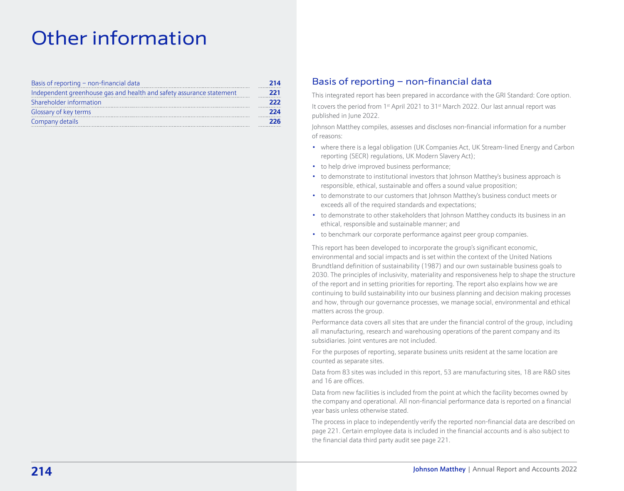# Other information

| Basis of reporting - non-financial data                              | 214 |
|----------------------------------------------------------------------|-----|
| Independent greenhouse gas and health and safety assurance statement | 221 |
| Shareholder information                                              | 222 |
| Glossary of key terms                                                | 224 |
| Company details                                                      | 226 |

# Basis of reporting – non-financial data

This integrated report has been prepared in accordance with the GRI Standard: Core option. It covers the period from 1<sup>st</sup> April 2021 to 31<sup>st</sup> March 2022. Our last annual report was published in June 2022.

Johnson Matthey compiles, assesses and discloses non-financial information for a number of reasons:

- where there is a legal obligation (UK Companies Act, UK Stream-lined Energy and Carbon reporting (SECR) regulations, UK Modern Slavery Act);
- to help drive improved business performance;
- to demonstrate to institutional investors that Johnson Matthey's business approach is responsible, ethical, sustainable and offers a sound value proposition;
- to demonstrate to our customers that Johnson Matthey's business conduct meets or exceeds all of the required standards and expectations;
- to demonstrate to other stakeholders that Johnson Matthey conducts its business in an ethical, responsible and sustainable manner; and
- to benchmark our corporate performance against peer group companies.

This report has been developed to incorporate the group's significant economic, environmental and social impacts and is set within the context of the United Nations Brundtland definition of sustainability (1987) and our own sustainable business goals to 2030. The principles of inclusivity, materiality and responsiveness help to shape the structure of the report and in setting priorities for reporting. The report also explains how we are continuing to build sustainability into our business planning and decision making processes and how, through our governance processes, we manage social, environmental and ethical matters across the group.

Performance data covers all sites that are under the financial control of the group, including all manufacturing, research and warehousing operations of the parent company and its subsidiaries. Joint ventures are not included.

For the purposes of reporting, separate business units resident at the same location are counted as separate sites.

Data from 83 sites was included in this report, 53 are manufacturing sites, 18 are R&D sites and 16 are offices.

Data from new facilities is included from the point at which the facility becomes owned by the company and operational. All non-financial performance data is reported on a financial year basis unless otherwise stated.

The process in place to independently verify the reported non-financial data are described on [page 221. Certain employee data is included in the financial accounts and is also subject to](#page-7-0) the financial data third party audit see page 221.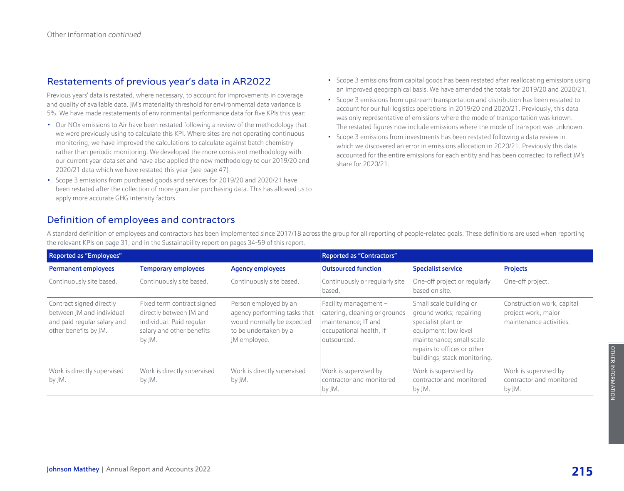## Restatements of previous year's data in AR2022

Previous years' data is restated, where necessary, to account for improvements in coverage and quality of available data. JM's materiality threshold for environmental data variance is 5%. We have made restatements of environmental performance data for five KPIs this year:

- Our NOx emissions to Air have been restated following a review of the methodology that we were previously using to calculate this KPI. Where sites are not operating continuous monitoring, we have improved the calculations to calculate against batch chemistry rather than periodic monitoring. We developed the more consistent methodology with our current year data set and have also applied the new methodology to our 2019/20 and 2020/21 data which we have restated this year [\(see page 47\).](#page--1-0)
- Scope 3 emissions from purchased goods and services for 2019/20 and 2020/21 have been restated after the collection of more granular purchasing data. This has allowed us to apply more accurate GHG intensity factors.
- Scope 3 emissions from capital goods has been restated after reallocating emissions using an improved geographical basis. We have amended the totals for 2019/20 and 2020/21.
- Scope 3 emissions from upstream transportation and distribution has been restated to account for our full logistics operations in 2019/20 and 2020/21. Previously, this data was only representative of emissions where the mode of transportation was known. The restated figures now include emissions where the mode of transport was unknown.
- Scope 3 emissions from investments has been restated following a data review in which we discovered an error in emissions allocation in 2020/21. Previously this data accounted for the entire emissions for each entity and has been corrected to reflect JM's share for 2020/21.

# Definition of employees and contractors

A standard definition of employees and contractors has been implemented since 2017/18 across the group for all reporting of people-related goals. These definitions are used when reporting the relevant KPIs [on page 31,](#page--1-0) and in the Sustainability report on [pages 34-59](#page--1-0) of this report.

| <b>Reported as "Employees"</b>                                                                                |                                                                                                                          |                                                                                                                              | <b>Reported as "Contractors"</b>                                                                                          |                                                                                                                                                                                              |                                                                              |
|---------------------------------------------------------------------------------------------------------------|--------------------------------------------------------------------------------------------------------------------------|------------------------------------------------------------------------------------------------------------------------------|---------------------------------------------------------------------------------------------------------------------------|----------------------------------------------------------------------------------------------------------------------------------------------------------------------------------------------|------------------------------------------------------------------------------|
| <b>Permanent employees</b>                                                                                    | <b>Temporary employees</b>                                                                                               | <b>Agency employees</b>                                                                                                      | <b>Outsourced function</b>                                                                                                | <b>Specialist service</b>                                                                                                                                                                    | <b>Projects</b>                                                              |
| Continuously site based.                                                                                      | Continuously site based.                                                                                                 | Continuously site based.                                                                                                     | Continuously or regularly site<br>based.                                                                                  | One-off project or regularly<br>based on site.                                                                                                                                               | One-off project.                                                             |
| Contract signed directly<br>between JM and individual<br>and paid reqular salary and<br>other benefits by JM. | Fixed term contract signed<br>directly between JM and<br>individual. Paid regular<br>salary and other benefits<br>by JM. | Person employed by an<br>agency performing tasks that<br>would normally be expected<br>to be undertaken by a<br>JM employee. | Facility management $-$<br>catering, cleaning or grounds<br>maintenance; IT and<br>occupational health, if<br>outsourced. | Small scale building or<br>ground works; repairing<br>specialist plant or<br>equipment; low level<br>maintenance; small scale<br>repairs to offices or other<br>buildings; stack monitoring. | Construction work, capital<br>project work, major<br>maintenance activities. |
| Work is directly supervised<br>by JM.                                                                         | Work is directly supervised<br>by JM.                                                                                    | Work is directly supervised<br>by JM.                                                                                        | Work is supervised by<br>contractor and monitored<br>by JM.                                                               | Work is supervised by<br>contractor and monitored<br>by JM.                                                                                                                                  | Work is supervised by<br>contractor and monitored<br>by JM.                  |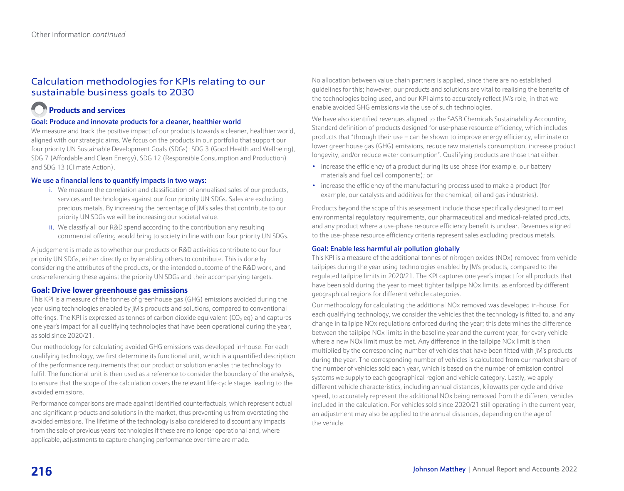# Calculation methodologies for KPIs relating to our sustainable business goals to 2030

# **Products and services**

## Goal: Produce and innovate products for a cleaner, healthier world

We measure and track the positive impact of our products towards a cleaner, healthier world, aligned with our strategic aims. We focus on the products in our portfolio that support our four priority UN Sustainable Development Goals (SDGs): SDG 3 (Good Health and Wellbeing), SDG 7 (Affordable and Clean Energy), SDG 12 (Responsible Consumption and Production) and SDG 13 (Climate Action).

## We use a financial lens to quantify impacts in two ways:

- i. We measure the correlation and classification of annualised sales of our products, services and technologies against our four priority UN SDGs. Sales are excluding precious metals. By increasing the percentage of JM's sales that contribute to our priority UN SDGs we will be increasing our societal value.
- ii. We classify all our R&D spend according to the contribution any resulting commercial offering would bring to society in line with our four priority UN SDGs.

A judgement is made as to whether our products or R&D activities contribute to our four priority UN SDGs, either directly or by enabling others to contribute. This is done by considering the attributes of the products, or the intended outcome of the R&D work, and cross-referencing these against the priority UN SDGs and their accompanying targets.

## **Goal: Drive lower greenhouse gas emissions**

This KPI is a measure of the tonnes of greenhouse gas (GHG) emissions avoided during the year using technologies enabled by JM's products and solutions, compared to conventional offerings. The KPI is expressed as tonnes of carbon dioxide equivalent ( $CO<sub>2</sub>$  eq) and captures one year's impact for all qualifying technologies that have been operational during the year, as sold since 2020/21.

Our methodology for calculating avoided GHG emissions was developed in-house. For each qualifying technology, we first determine its functional unit, which is a quantified description of the performance requirements that our product or solution enables the technology to fulfil. The functional unit is then used as a reference to consider the boundary of the analysis, to ensure that the scope of the calculation covers the relevant life-cycle stages leading to the avoided emissions.

Performance comparisons are made against identified counterfactuals, which represent actual and significant products and solutions in the market, thus preventing us from overstating the avoided emissions. The lifetime of the technology is also considered to discount any impacts from the sale of previous years' technologies if these are no longer operational and, where applicable, adjustments to capture changing performance over time are made.

No allocation between value chain partners is applied, since there are no established guidelines for this; however, our products and solutions are vital to realising the benefits of the technologies being used, and our KPI aims to accurately reflect JM's role, in that we enable avoided GHG emissions via the use of such technologies.

We have also identified revenues aligned to the SASB Chemicals Sustainability Accounting Standard definition of products designed for use-phase resource efficiency, which includes products that "through their use – can be shown to improve energy efficiency, eliminate or lower greenhouse gas (GHG) emissions, reduce raw materials consumption, increase product longevity, and/or reduce water consumption". Qualifying products are those that either:

- increase the efficiency of a product during its use phase (for example, our battery materials and fuel cell components); or
- increase the efficiency of the manufacturing process used to make a product (for example, our catalysts and additives for the chemical, oil and gas industries).

Products beyond the scope of this assessment include those specifically designed to meet environmental regulatory requirements, our pharmaceutical and medical-related products, and any product where a use-phase resource efficiency benefit is unclear. Revenues aligned to the use-phase resource efficiency criteria represent sales excluding precious metals.

## Goal: Enable less harmful air pollution globally

This KPI is a measure of the additional tonnes of nitrogen oxides (NOx) removed from vehicle tailpipes during the year using technologies enabled by JM's products, compared to the regulated tailpipe limits in 2020/21. The KPI captures one year's impact for all products that have been sold during the year to meet tighter tailpipe NOx limits, as enforced by different geographical regions for different vehicle categories.

Our methodology for calculating the additional NOx removed was developed in-house. For each qualifying technology, we consider the vehicles that the technology is fitted to, and any change in tailpipe NOx regulations enforced during the year; this determines the difference between the tailpipe NOx limits in the baseline year and the current year, for every vehicle where a new NOx limit must be met. Any difference in the tailpipe NOx limit is then multiplied by the corresponding number of vehicles that have been fitted with JM's products during the year. The corresponding number of vehicles is calculated from our market share of the number of vehicles sold each year, which is based on the number of emission control systems we supply to each geographical region and vehicle category. Lastly, we apply different vehicle characteristics, including annual distances, kilowatts per cycle and drive speed, to accurately represent the additional NOx being removed from the different vehicles included in the calculation. For vehicles sold since 2020/21 still operating in the current year, an adjustment may also be applied to the annual distances, depending on the age of the vehicle.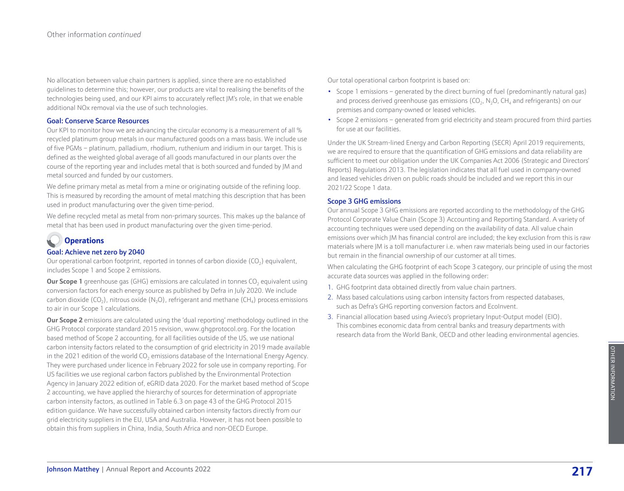No allocation between value chain partners is applied, since there are no established guidelines to determine this; however, our products are vital to realising the benefits of the technologies being used, and our KPI aims to accurately reflect JM's role, in that we enable additional NOx removal via the use of such technologies.

#### Goal: Conserve Scarce Resources

Our KPI to monitor how we are advancing the circular economy is a measurement of all % recycled platinum group metals in our manufactured goods on a mass basis. We include use of five PGMs – platinum, palladium, rhodium, ruthenium and iridium in our target. This is defined as the weighted global average of all goods manufactured in our plants over the course of the reporting year and includes metal that is both sourced and funded by JM and metal sourced and funded by our customers.

We define primary metal as metal from a mine or originating outside of the refining loop. This is measured by recording the amount of metal matching this description that has been used in product manufacturing over the given time-period.

We define recycled metal as metal from non-primary sources. This makes up the balance of metal that has been used in product manufacturing over the given time-period.

# **Operations**

## Goal: Achieve net zero by 2040

Our operational carbon footprint, reported in tonnes of carbon dioxide  $(CO<sub>2</sub>)$  equivalent, includes Scope 1 and Scope 2 emissions.

**Our Scope 1** greenhouse gas (GHG) emissions are calculated in tonnes CO<sub>2</sub> equivalent using conversion factors for each energy source as published by Defra in July 2020. We include carbon dioxide (CO<sub>2</sub>), nitrous oxide (N<sub>2</sub>O), refrigerant and methane (CH<sub>4</sub>) process emissions to air in our Scope 1 calculations.

**Our Scope 2** emissions are calculated using the 'dual reporting' methodology outlined in the GHG Protocol corporate standard 2015 revision, www.ghgprotocol.org. For the location based method of Scope 2 accounting, for all facilities outside of the US, we use national carbon intensity factors related to the consumption of grid electricity in 2019 made available in the 2021 edition of the world  $CO<sub>2</sub>$  emissions database of the International Energy Agency. They were purchased under licence in February 2022 for sole use in company reporting. For US facilities we use regional carbon factors published by the Environmental Protection Agency in January 2022 edition of, eGRID data 2020. For the market based method of Scope 2 accounting, we have applied the hierarchy of sources for determination of appropriate carbon intensity factors, as outlined in Table 6.3 on page 43 of the GHG Protocol 2015 edition guidance. We have successfully obtained carbon intensity factors directly from our grid electricity suppliers in the EU, USA and Australia. However, it has not been possible to obtain this from suppliers in China, India, South Africa and non-OECD Europe.

Our total operational carbon footprint is based on:

- Scope 1 emissions generated by the direct burning of fuel (predominantly natural gas) and process derived greenhouse gas emissions ( $CO<sub>2</sub>$ , N<sub>2</sub>O, CH<sub>4</sub> and refrigerants) on our premises and company-owned or leased vehicles.
- Scope 2 emissions generated from grid electricity and steam procured from third parties for use at our facilities.

Under the UK Stream-lined Energy and Carbon Reporting (SECR) April 2019 requirements, we are required to ensure that the quantification of GHG emissions and data reliability are sufficient to meet our obligation under the UK Companies Act 2006 (Strategic and Directors' Reports) Regulations 2013. The legislation indicates that all fuel used in company-owned and leased vehicles driven on public roads should be included and we report this in our 2021/22 Scope 1 data.

## Scope 3 GHG emissions

Our annual Scope 3 GHG emissions are reported according to the methodology of the GHG Protocol Corporate Value Chain (Scope 3) Accounting and Reporting Standard. A variety of accounting techniques were used depending on the availability of data. All value chain emissions over which JM has financial control are included; the key exclusion from this is raw materials where JM is a toll manufacturer i.e. when raw materials being used in our factories but remain in the financial ownership of our customer at all times.

When calculating the GHG footprint of each Scope 3 category, our principle of using the most accurate data sources was applied in the following order:

- 1. GHG footprint data obtained directly from value chain partners.
- 2. Mass based calculations using carbon intensity factors from respected databases, such as Defra's GHG reporting conversion factors and EcoInvent.
- 3. Financial allocation based using Avieco's proprietary Input-Output model (EIO). This combines economic data from central banks and treasury departments with research data from the World Bank, OECD and other leading environmental agencies.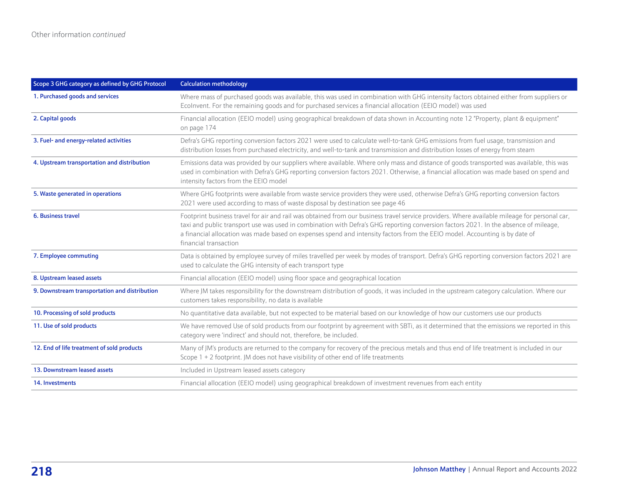| Scope 3 GHG category as defined by GHG Protocol | <b>Calculation methodology</b>                                                                                                                                                                                                                                                                                                                                                                                                                |
|-------------------------------------------------|-----------------------------------------------------------------------------------------------------------------------------------------------------------------------------------------------------------------------------------------------------------------------------------------------------------------------------------------------------------------------------------------------------------------------------------------------|
| 1. Purchased goods and services                 | Where mass of purchased goods was available, this was used in combination with GHG intensity factors obtained either from suppliers or<br>Ecolnvent. For the remaining goods and for purchased services a financial allocation (EEIO model) was used                                                                                                                                                                                          |
| 2. Capital goods                                | Financial allocation (EEIO model) using geographical breakdown of data shown in Accounting note 12 "Property, plant & equipment"<br>on page 174                                                                                                                                                                                                                                                                                               |
| 3. Fuel- and energy-related activities          | Defra's GHG reporting conversion factors 2021 were used to calculate well-to-tank GHG emissions from fuel usage, transmission and<br>distribution losses from purchased electricity, and well-to-tank and transmission and distribution losses of energy from steam                                                                                                                                                                           |
| 4. Upstream transportation and distribution     | Emissions data was provided by our suppliers where available. Where only mass and distance of goods transported was available, this was<br>used in combination with Defra's GHG reporting conversion factors 2021. Otherwise, a financial allocation was made based on spend and<br>intensity factors from the EEIO model                                                                                                                     |
| 5. Waste generated in operations                | Where GHG footprints were available from waste service providers they were used, otherwise Defra's GHG reporting conversion factors<br>2021 were used according to mass of waste disposal by destination see page 46                                                                                                                                                                                                                          |
| 6. Business travel                              | Footprint business travel for air and rail was obtained from our business travel service providers. Where available mileage for personal car,<br>taxi and public transport use was used in combination with Defra's GHG reporting conversion factors 2021. In the absence of mileage,<br>a financial allocation was made based on expenses spend and intensity factors from the EEIO model. Accounting is by date of<br>financial transaction |
| 7. Employee commuting                           | Data is obtained by employee survey of miles travelled per week by modes of transport. Defra's GHG reporting conversion factors 2021 are<br>used to calculate the GHG intensity of each transport type                                                                                                                                                                                                                                        |
| 8. Upstream leased assets                       | Financial allocation (EEIO model) using floor space and geographical location                                                                                                                                                                                                                                                                                                                                                                 |
| 9. Downstream transportation and distribution   | Where JM takes responsibility for the downstream distribution of goods, it was included in the upstream category calculation. Where our<br>customers takes responsibility, no data is available                                                                                                                                                                                                                                               |
| 10. Processing of sold products                 | No quantitative data available, but not expected to be material based on our knowledge of how our customers use our products                                                                                                                                                                                                                                                                                                                  |
| 11. Use of sold products                        | We have removed Use of sold products from our footprint by agreement with SBTi, as it determined that the emissions we reported in this<br>category were 'indirect' and should not, therefore, be included.                                                                                                                                                                                                                                   |
| 12. End of life treatment of sold products      | Many of JM's products are returned to the company for recovery of the precious metals and thus end of life treatment is included in our<br>Scope 1 + 2 footprint. JM does not have visibility of other end of life treatments                                                                                                                                                                                                                 |
| 13. Downstream leased assets                    | Included in Upstream leased assets category                                                                                                                                                                                                                                                                                                                                                                                                   |
| 14. Investments                                 | Financial allocation (EEIO model) using geographical breakdown of investment revenues from each entity                                                                                                                                                                                                                                                                                                                                        |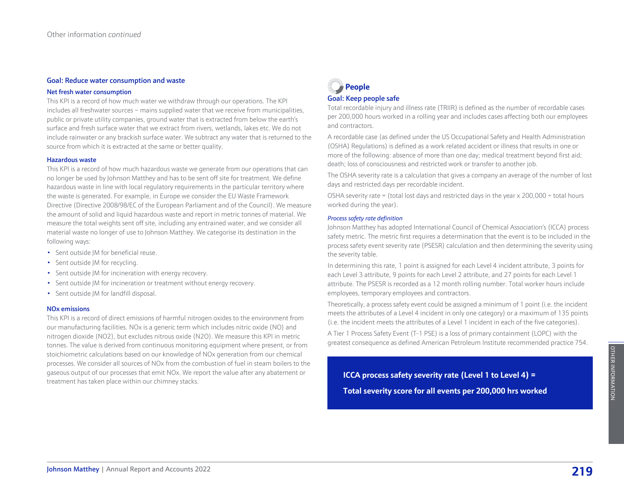#### Goal: Reduce water consumption and waste

#### Net fresh water consumption

This KPI is a record of how much water we withdraw through our operations. The KPI includes all freshwater sources – mains supplied water that we receive from municipalities, public or private utility companies, ground water that is extracted from below the earth's surface and fresh surface water that we extract from rivers, wetlands, lakes etc. We do not include rainwater or any brackish surface water. We subtract any water that is returned to the source from which it is extracted at the same or better quality.

#### Hazardous waste

This KPI is a record of how much hazardous waste we generate from our operations that can no longer be used by Johnson Matthey and has to be sent off site for treatment. We define hazardous waste in line with local regulatory requirements in the particular territory where the waste is generated. For example, in Europe we consider the EU Waste Framework Directive (Directive 2008/98/EC of the European Parliament and of the Council). We measure the amount of solid and liquid hazardous waste and report in metric tonnes of material. We measure the total weights sent off site, including any entrained water, and we consider all material waste no longer of use to Johnson Matthey. We categorise its destination in the following ways:

- Sent outside IM for beneficial reuse.
- Sent outside JM for recycling.
- Sent outside JM for incineration with energy recovery.
- Sent outside JM for incineration or treatment without energy recovery.
- Sent outside JM for landfill disposal.

#### NOx emissions

This KPI is a record of direct emissions of harmful nitrogen oxides to the environment from our manufacturing facilities. NOx is a generic term which includes nitric oxide (NO) and nitrogen dioxide (NO2), but excludes nitrous oxide (N2O). We measure this KPI in metric tonnes. The value is derived from continuous monitoring equipment where present, or from stoichiometric calculations based on our knowledge of NOx generation from our chemical processes. We consider all sources of NOx from the combustion of fuel in steam boilers to the gaseous output of our processes that emit NOx. We report the value after any abatement or treatment has taken place within our chimney stacks.

# **People** Goal: Keep people safe

Total recordable injury and illness rate (TRIIR) is defined as the number of recordable cases per 200,000 hours worked in a rolling year and includes cases affecting both our employees and contractors.

A recordable case (as defined under the US Occupational Safety and Health Administration (OSHA) Regulations) is defined as a work related accident or illness that results in one or more of the following: absence of more than one day; medical treatment beyond first aid; death; loss of consciousness and restricted work or transfer to another job.

The OSHA severity rate is a calculation that gives a company an average of the number of lost days and restricted days per recordable incident.

OSHA severity rate = (total lost days and restricted days in the year  $\times$  200,000 ÷ total hours worked during the year).

#### *Process safety rate definition*

Johnson Matthey has adopted International Council of Chemical Association's (ICCA) process safety metric. The metric first requires a determination that the event is to be included in the process safety event severity rate (PSESR) calculation and then determining the severity using the severity table.

In determining this rate, 1 point is assigned for each Level 4 incident attribute, 3 points for each Level 3 attribute, 9 points for each Level 2 attribute, and 27 points for each Level 1 attribute. The PSESR is recorded as a 12 month rolling number. Total worker hours include employees, temporary employees and contractors.

Theoretically, a process safety event could be assigned a minimum of 1 point (i.e. the incident meets the attributes of a Level 4 incident in only one category) or a maximum of 135 points (i.e. the incident meets the attributes of a Level 1 incident in each of the five categories).

A Tier 1 Process Safety Event (T-1 PSE) is a loss of primary containment (LOPC) with the greatest consequence as defined American Petroleum Institute recommended practice 754.

# **ICCA process safety severity rate (Level 1 to Level 4) = Total severity score for all events per 200,000 hrs worked**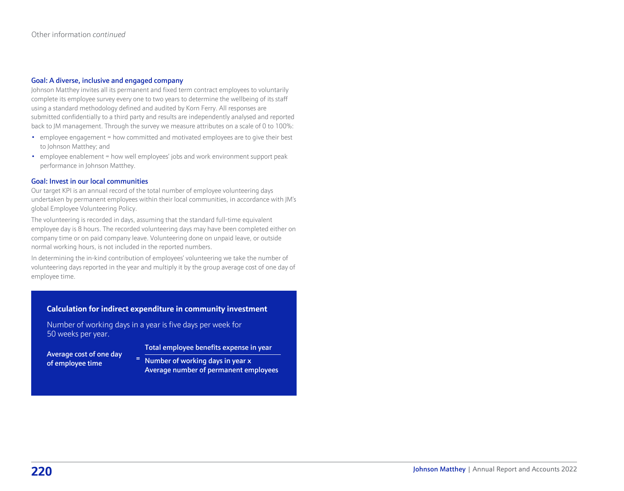#### Goal: A diverse, inclusive and engaged company

Johnson Matthey invites all its permanent and fixed term contract employees to voluntarily complete its employee survey every one to two years to determine the wellbeing of its staff using a standard methodology defined and audited by Korn Ferry. All responses are submitted confidentially to a third party and results are independently analysed and reported back to JM management. Through the survey we measure attributes on a scale of 0 to 100%:

- employee engagement = how committed and motivated employees are to give their best to Johnson Matthey; and
- employee enablement = how well employees' jobs and work environment support peak performance in Johnson Matthey.

#### Goal: Invest in our local communities

Our target KPI is an annual record of the total number of employee volunteering days undertaken by permanent employees within their local communities, in accordance with JM's global Employee Volunteering Policy.

The volunteering is recorded in days, assuming that the standard full-time equivalent employee day is 8 hours. The recorded volunteering days may have been completed either on company time or on paid company leave. Volunteering done on unpaid leave, or outside normal working hours, is not included in the reported numbers.

In determining the in-kind contribution of employees' volunteering we take the number of volunteering days reported in the year and multiply it by the group average cost of one day of employee time.

## **Calculation for indirect expenditure in community investment**

Number of working days in a year is five days per week for 50 weeks per year.

Average cost of one day of employee time

Total employee benefits expense in year

Number of working days in year x Average number of permanent employees